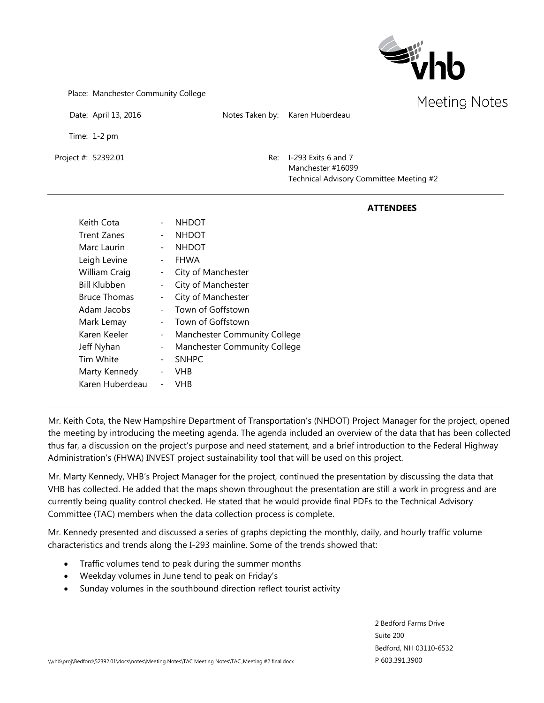

Place: Manchester Community College

|                      |                          |                    |                 |                                                                                     | Meeting N |
|----------------------|--------------------------|--------------------|-----------------|-------------------------------------------------------------------------------------|-----------|
| Date: April 13, 2016 |                          |                    | Notes Taken by: | Karen Huberdeau                                                                     |           |
| Time: 1-2 pm         |                          |                    |                 |                                                                                     |           |
| Project #: 52392.01  |                          |                    | Re:             | I-293 Exits 6 and 7<br>Manchester #16099<br>Technical Advisory Committee Meeting #2 |           |
|                      |                          |                    |                 | <b>ATTENDEES</b>                                                                    |           |
| Keith Cota           | $\overline{\phantom{a}}$ | <b>NHDOT</b>       |                 |                                                                                     |           |
| Trent Zanes          | $\overline{\phantom{a}}$ | <b>NHDOT</b>       |                 |                                                                                     |           |
| Marc Laurin          | $\overline{\phantom{a}}$ | <b>NHDOT</b>       |                 |                                                                                     |           |
| Leigh Levine         | $\overline{\phantom{a}}$ | <b>FHWA</b>        |                 |                                                                                     |           |
| William Craig        | $\qquad \qquad -$        | City of Manchester |                 |                                                                                     |           |
| <b>Bill Klubben</b>  | -                        | City of Manchester |                 |                                                                                     |           |
| <b>Bruce Thomas</b>  | -                        | City of Manchester |                 |                                                                                     |           |
| Adam Jacobs          | $\overline{\phantom{0}}$ | Town of Goffstown  |                 |                                                                                     |           |

- Mark Lemay Town of Goffstown
- Karen Keeler Manchester Community College
- Jeff Nyhan Manchester Community College
- Tim White  $\qquad -$  SNHPC Marty Kennedy - VHB

Karen Huberdeau - VHB

Mr. Keith Cota, the New Hampshire Department of Transportation's (NHDOT) Project Manager for the project, opened the meeting by introducing the meeting agenda. The agenda included an overview of the data that has been collected thus far, a discussion on the project's purpose and need statement, and a brief introduction to the Federal Highway Administration's (FHWA) INVEST project sustainability tool that will be used on this project.

Mr. Marty Kennedy, VHB's Project Manager for the project, continued the presentation by discussing the data that VHB has collected. He added that the maps shown throughout the presentation are still a work in progress and are currently being quality control checked. He stated that he would provide final PDFs to the Technical Advisory Committee (TAC) members when the data collection process is complete.

Mr. Kennedy presented and discussed a series of graphs depicting the monthly, daily, and hourly traffic volume characteristics and trends along the I-293 mainline. Some of the trends showed that:

- Traffic volumes tend to peak during the summer months
- Weekday volumes in June tend to peak on Friday's
- Sunday volumes in the southbound direction reflect tourist activity

2 Bedford Farms Drive Suite 200 Bedford, NH 03110-6532 P 603.391.3900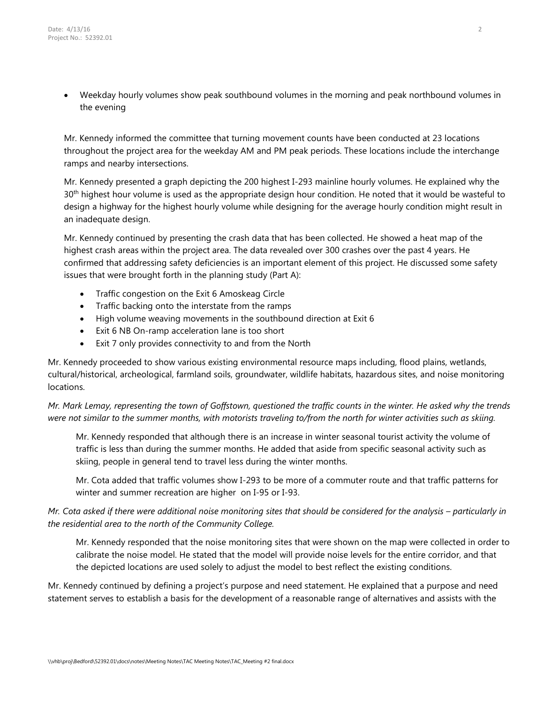• Weekday hourly volumes show peak southbound volumes in the morning and peak northbound volumes in the evening

Mr. Kennedy informed the committee that turning movement counts have been conducted at 23 locations throughout the project area for the weekday AM and PM peak periods. These locations include the interchange ramps and nearby intersections.

Mr. Kennedy presented a graph depicting the 200 highest I-293 mainline hourly volumes. He explained why the 30<sup>th</sup> highest hour volume is used as the appropriate design hour condition. He noted that it would be wasteful to design a highway for the highest hourly volume while designing for the average hourly condition might result in an inadequate design.

Mr. Kennedy continued by presenting the crash data that has been collected. He showed a heat map of the highest crash areas within the project area. The data revealed over 300 crashes over the past 4 years. He confirmed that addressing safety deficiencies is an important element of this project. He discussed some safety issues that were brought forth in the planning study (Part A):

- Traffic congestion on the Exit 6 Amoskeag Circle
- Traffic backing onto the interstate from the ramps
- High volume weaving movements in the southbound direction at Exit 6
- Exit 6 NB On-ramp acceleration lane is too short
- Exit 7 only provides connectivity to and from the North

Mr. Kennedy proceeded to show various existing environmental resource maps including, flood plains, wetlands, cultural/historical, archeological, farmland soils, groundwater, wildlife habitats, hazardous sites, and noise monitoring locations.

*Mr. Mark Lemay, representing the town of Goffstown, questioned the traffic counts in the winter. He asked why the trends were not similar to the summer months, with motorists traveling to/from the north for winter activities such as skiing.* 

Mr. Kennedy responded that although there is an increase in winter seasonal tourist activity the volume of traffic is less than during the summer months. He added that aside from specific seasonal activity such as skiing, people in general tend to travel less during the winter months.

Mr. Cota added that traffic volumes show I-293 to be more of a commuter route and that traffic patterns for winter and summer recreation are higher on I-95 or I-93.

*Mr. Cota asked if there were additional noise monitoring sites that should be considered for the analysis – particularly in the residential area to the north of the Community College.*

Mr. Kennedy responded that the noise monitoring sites that were shown on the map were collected in order to calibrate the noise model. He stated that the model will provide noise levels for the entire corridor, and that the depicted locations are used solely to adjust the model to best reflect the existing conditions.

Mr. Kennedy continued by defining a project's purpose and need statement. He explained that a purpose and need statement serves to establish a basis for the development of a reasonable range of alternatives and assists with the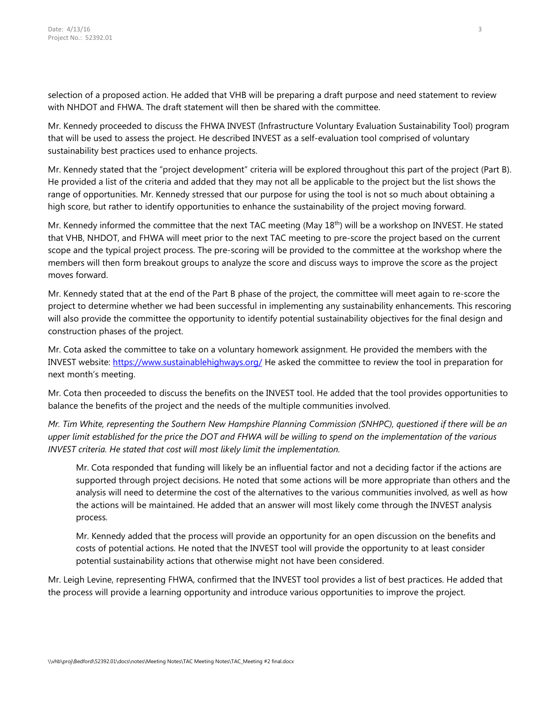selection of a proposed action. He added that VHB will be preparing a draft purpose and need statement to review with NHDOT and FHWA. The draft statement will then be shared with the committee.

Mr. Kennedy proceeded to discuss the FHWA INVEST (Infrastructure Voluntary Evaluation Sustainability Tool) program that will be used to assess the project. He described INVEST as a self-evaluation tool comprised of voluntary sustainability best practices used to enhance projects.

Mr. Kennedy stated that the "project development" criteria will be explored throughout this part of the project (Part B). He provided a list of the criteria and added that they may not all be applicable to the project but the list shows the range of opportunities. Mr. Kennedy stressed that our purpose for using the tool is not so much about obtaining a high score, but rather to identify opportunities to enhance the sustainability of the project moving forward.

Mr. Kennedy informed the committee that the next TAC meeting (May 18<sup>th</sup>) will be a workshop on INVEST. He stated that VHB, NHDOT, and FHWA will meet prior to the next TAC meeting to pre-score the project based on the current scope and the typical project process. The pre-scoring will be provided to the committee at the workshop where the members will then form breakout groups to analyze the score and discuss ways to improve the score as the project moves forward.

Mr. Kennedy stated that at the end of the Part B phase of the project, the committee will meet again to re-score the project to determine whether we had been successful in implementing any sustainability enhancements. This rescoring will also provide the committee the opportunity to identify potential sustainability objectives for the final design and construction phases of the project.

Mr. Cota asked the committee to take on a voluntary homework assignment. He provided the members with the INVEST website:<https://www.sustainablehighways.org/> He asked the committee to review the tool in preparation for next month's meeting.

Mr. Cota then proceeded to discuss the benefits on the INVEST tool. He added that the tool provides opportunities to balance the benefits of the project and the needs of the multiple communities involved.

*Mr. Tim White, representing the Southern New Hampshire Planning Commission (SNHPC), questioned if there will be an* upper limit established for the price the DOT and FHWA will be willing to spend on the implementation of the various *INVEST criteria. He stated that cost will most likely limit the implementation.*

Mr. Cota responded that funding will likely be an influential factor and not a deciding factor if the actions are supported through project decisions. He noted that some actions will be more appropriate than others and the analysis will need to determine the cost of the alternatives to the various communities involved, as well as how the actions will be maintained. He added that an answer will most likely come through the INVEST analysis process.

Mr. Kennedy added that the process will provide an opportunity for an open discussion on the benefits and costs of potential actions. He noted that the INVEST tool will provide the opportunity to at least consider potential sustainability actions that otherwise might not have been considered.

Mr. Leigh Levine, representing FHWA, confirmed that the INVEST tool provides a list of best practices. He added that the process will provide a learning opportunity and introduce various opportunities to improve the project.